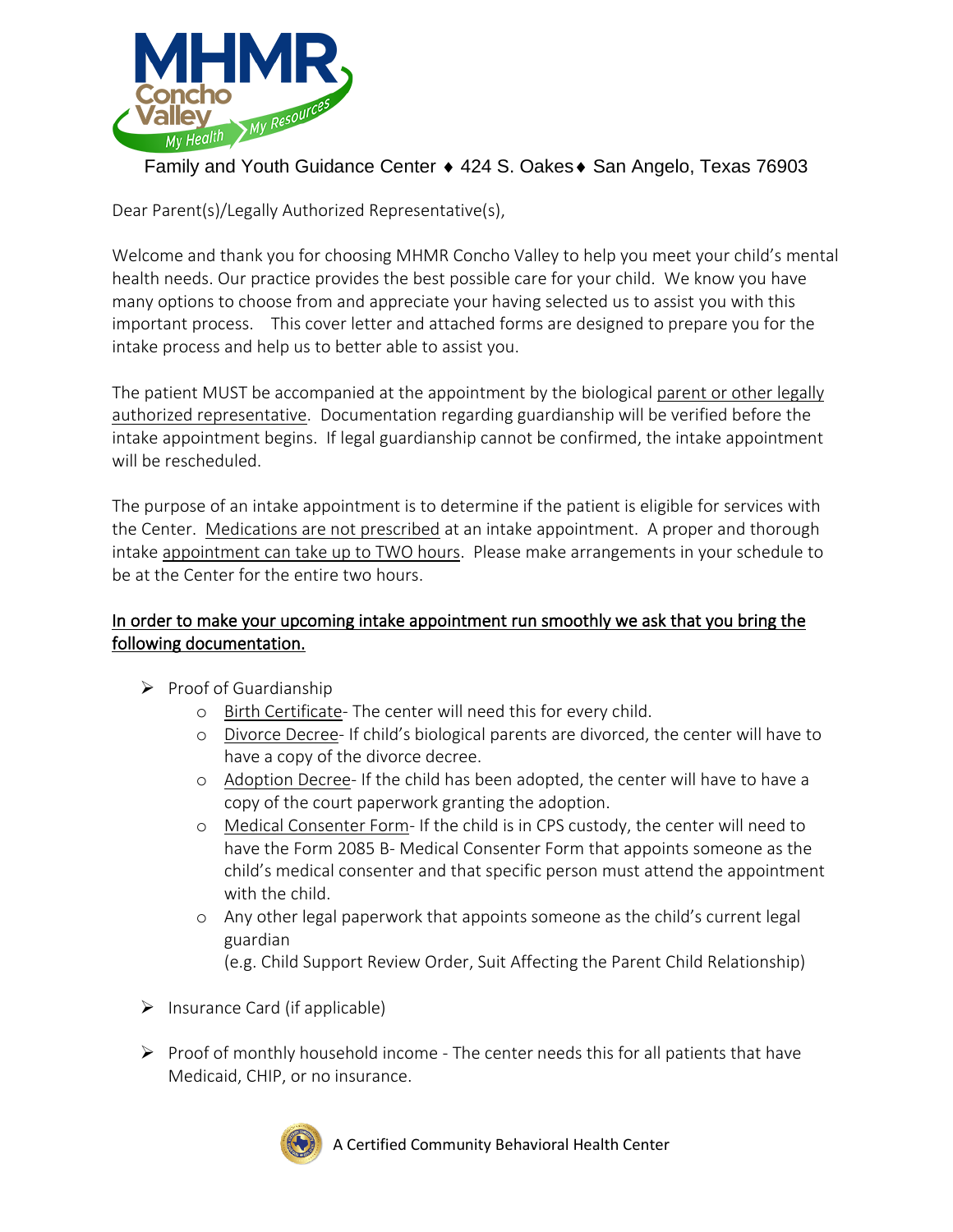

## Family and Youth Guidance Center ♦ 424 S. Oakes ♦ San Angelo, Texas 76903

Dear Parent(s)/Legally Authorized Representative(s),

Welcome and thank you for choosing MHMR Concho Valley to help you meet your child's mental health needs. Our practice provides the best possible care for your child. We know you have many options to choose from and appreciate your having selected us to assist you with this important process. This cover letter and attached forms are designed to prepare you for the intake process and help us to better able to assist you.

The patient MUST be accompanied at the appointment by the biological parent or other legally authorized representative. Documentation regarding guardianship will be verified before the intake appointment begins. If legal guardianship cannot be confirmed, the intake appointment will be rescheduled.

The purpose of an intake appointment is to determine if the patient is eligible for services with the Center. Medications are not prescribed at an intake appointment. A proper and thorough intake appointment can take up to TWO hours. Please make arrangements in your schedule to be at the Center for the entire two hours.

#### In order to make your upcoming intake appointment run smoothly we ask that you bring the following documentation.

- ➢ Proof of Guardianship
	- o Birth Certificate- The center will need this for every child.
	- o Divorce Decree- If child's biological parents are divorced, the center will have to have a copy of the divorce decree.
	- o Adoption Decree- If the child has been adopted, the center will have to have a copy of the court paperwork granting the adoption.
	- o Medical Consenter Form- If the child is in CPS custody, the center will need to have the Form 2085 B- Medical Consenter Form that appoints someone as the child's medical consenter and that specific person must attend the appointment with the child.
	- o Any other legal paperwork that appoints someone as the child's current legal guardian
		- (e.g. Child Support Review Order, Suit Affecting the Parent Child Relationship)
- $\triangleright$  Insurance Card (if applicable)
- $\triangleright$  Proof of monthly household income The center needs this for all patients that have Medicaid, CHIP, or no insurance.



A Certified Community Behavioral Health Center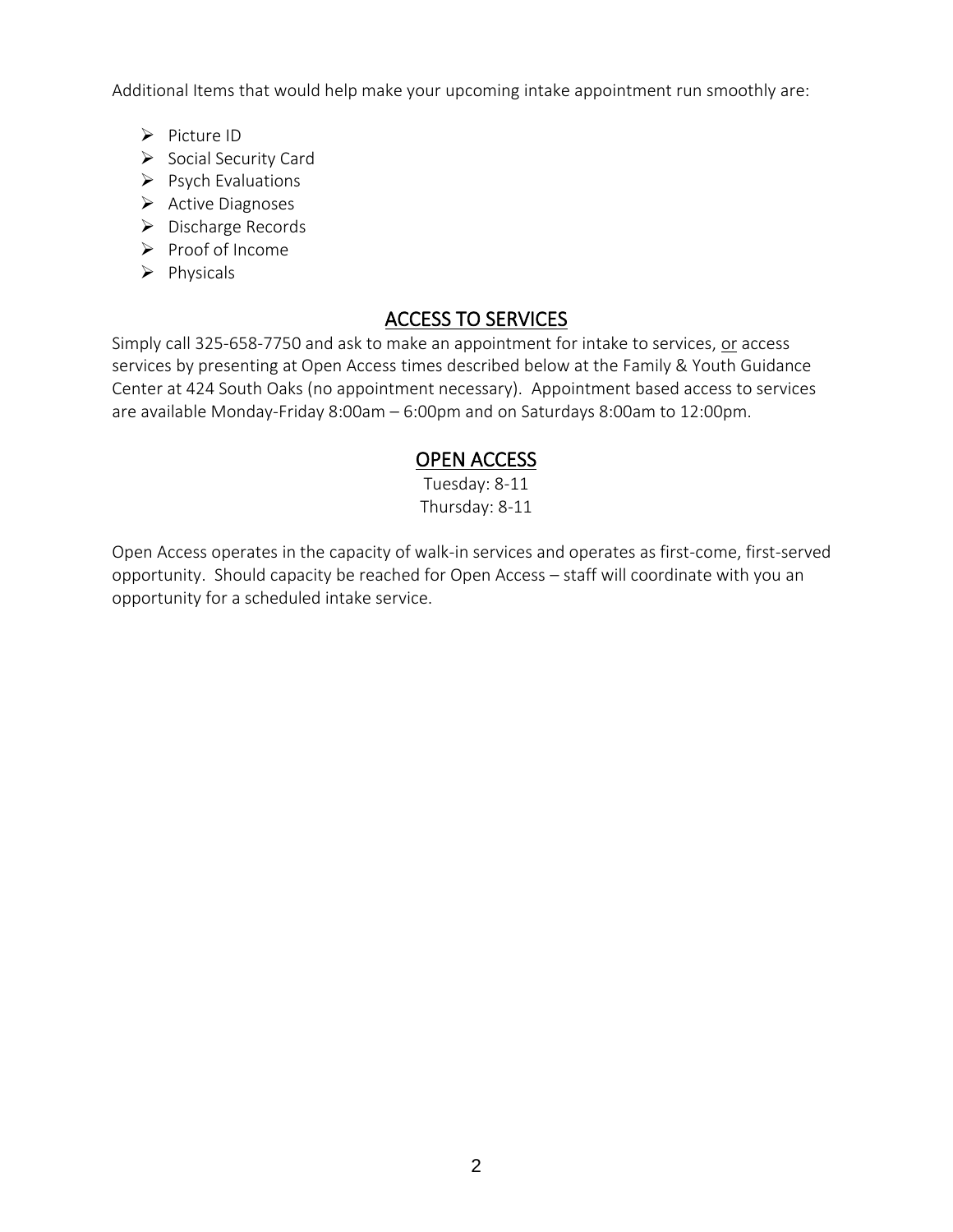Additional Items that would help make your upcoming intake appointment run smoothly are:

- ➢ Picture ID
- ➢ Social Security Card
- ➢ Psych Evaluations
- ➢ Active Diagnoses
- ➢ Discharge Records
- ➢ Proof of Income
- ➢ Physicals

# ACCESS TO SERVICES

Simply call 325-658-7750 and ask to make an appointment for intake to services, or access services by presenting at Open Access times described below at the Family & Youth Guidance Center at 424 South Oaks (no appointment necessary). Appointment based access to services are available Monday-Friday 8:00am – 6:00pm and on Saturdays 8:00am to 12:00pm.

## OPEN ACCESS

Tuesday: 8-11 Thursday: 8-11

Open Access operates in the capacity of walk-in services and operates as first-come, first-served opportunity. Should capacity be reached for Open Access – staff will coordinate with you an opportunity for a scheduled intake service.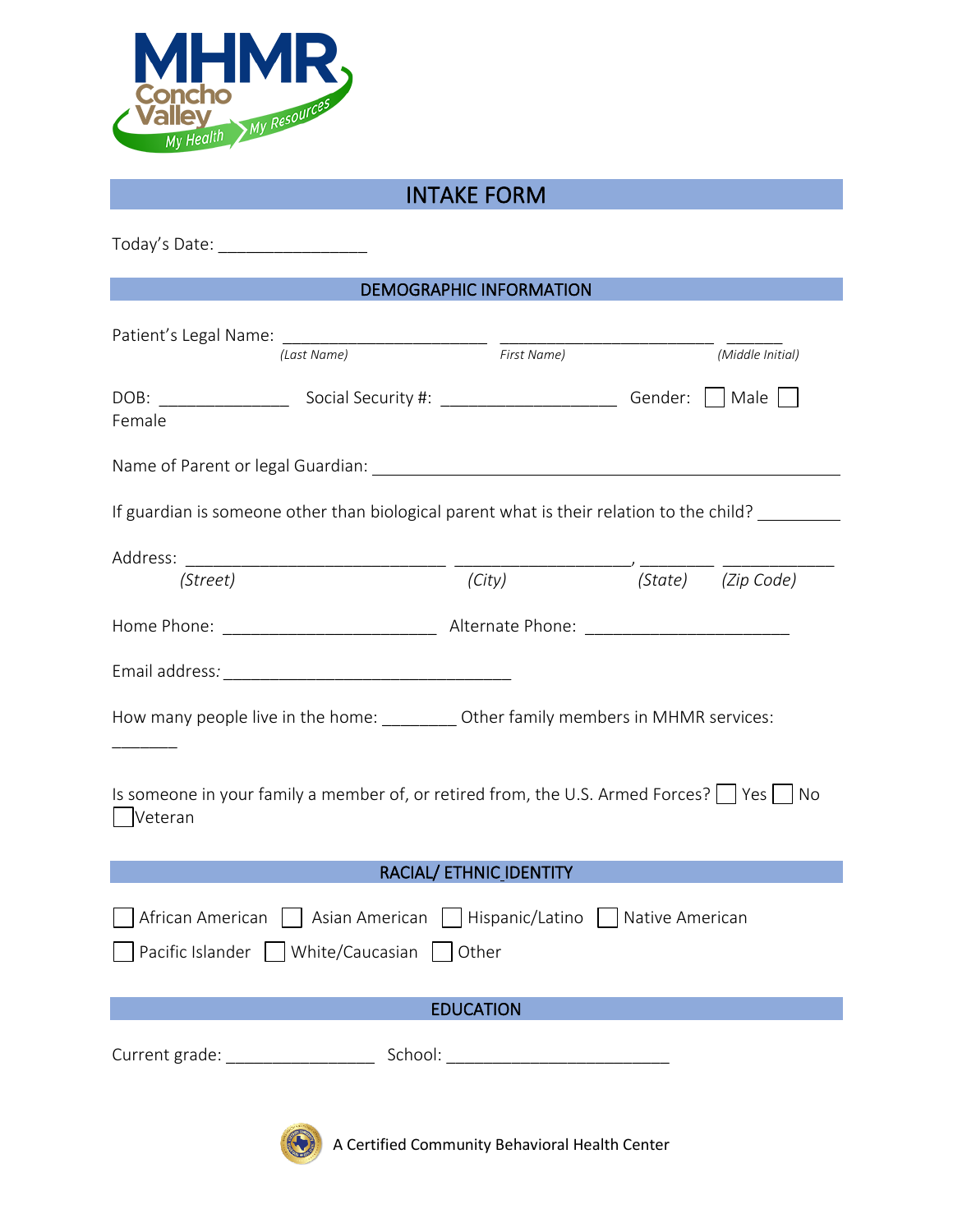

# INTAKE FORM

| Today's Date: ____________________                                                                                    |        |  |                    |  |
|-----------------------------------------------------------------------------------------------------------------------|--------|--|--------------------|--|
| <b>DEMOGRAPHIC INFORMATION</b>                                                                                        |        |  |                    |  |
| Patient's Legal Name: (Last Name) First Name)                                                                         |        |  | (Middle Initial)   |  |
| Female                                                                                                                |        |  |                    |  |
|                                                                                                                       |        |  |                    |  |
| If guardian is someone other than biological parent what is their relation to the child?                              |        |  |                    |  |
|                                                                                                                       |        |  |                    |  |
| (Street)                                                                                                              | (City) |  | (State) (Zip Code) |  |
|                                                                                                                       |        |  |                    |  |
|                                                                                                                       |        |  |                    |  |
| How many people live in the home: __________ Other family members in MHMR services:                                   |        |  |                    |  |
| Is someone in your family a member of, or retired from, the U.S. Armed Forces? $\Box$ Yes $\Box$ No<br>Veteran        |        |  |                    |  |
| RACIAL/ ETHNIC_IDENTITY                                                                                               |        |  |                    |  |
| African American     Asian American     Hispanic/Latino     Native American<br>Pacific Islander White/Caucasian Other |        |  |                    |  |
| <b>EDUCATION</b>                                                                                                      |        |  |                    |  |
|                                                                                                                       |        |  |                    |  |
|                                                                                                                       |        |  |                    |  |



 $\left(\bigodot\right)$  A Certified Community Behavioral Health Center